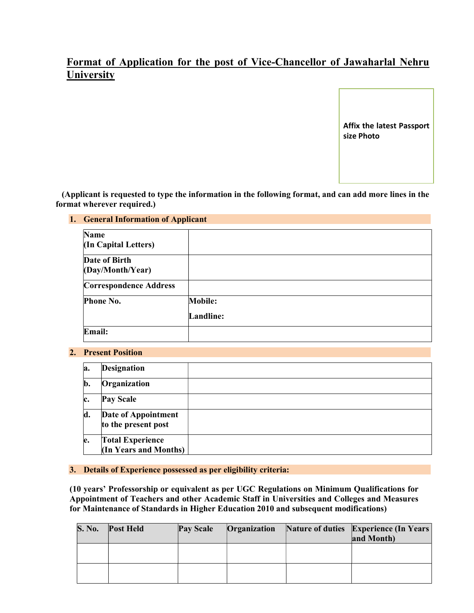# Format of Application for the post of Vice-Chancellor of Jawaharlal Nehru **University**

Affix the latest Passport size Photo

 (Applicant is requested to type the information in the following format, and can add more lines in the format wherever required.)

### 1. General Information of Applicant

| Name<br>(In Capital Letters)      |                  |
|-----------------------------------|------------------|
| Date of Birth<br>(Day/Month/Year) |                  |
| <b>Correspondence Address</b>     |                  |
| Phone No.                         | <b>Mobile:</b>   |
|                                   | <b>Landline:</b> |
| Email:                            |                  |

#### 2. Present Position

| la.            | <b>Designation</b>                               |  |
|----------------|--------------------------------------------------|--|
| $\mathbf{b}$ . | Organization                                     |  |
| Ic.            | <b>Pay Scale</b>                                 |  |
| d.             | Date of Appointment<br>to the present post       |  |
| e.             | <b>Total Experience</b><br>(In Years and Months) |  |

#### 3. Details of Experience possessed as per eligibility criteria:

(10 years' Professorship or equivalent as per UGC Regulations on Minimum Qualifications for Appointment of Teachers and other Academic Staff in Universities and Colleges and Measures for Maintenance of Standards in Higher Education 2010 and subsequent modifications)

| <b>S. No.</b> | <b>Post Held</b> | <b>Pay Scale</b> | Organization | <b>Nature of duties Experience (In Years)</b><br>and Month) |
|---------------|------------------|------------------|--------------|-------------------------------------------------------------|
|               |                  |                  |              |                                                             |
|               |                  |                  |              |                                                             |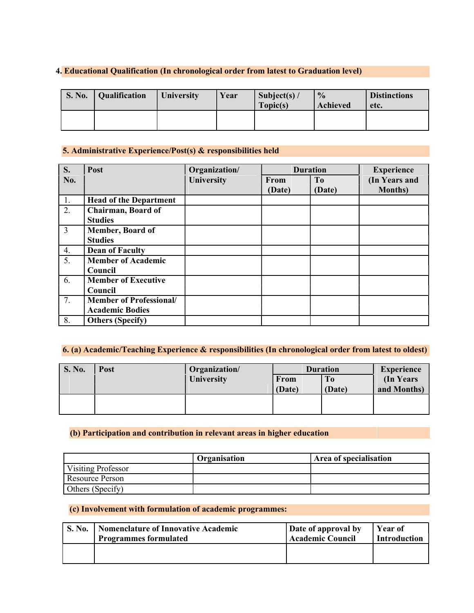## 4. Educational Qualification (In chronological order from latest to Graduation level)

| <b>S. No.</b> | Qualification | <b>University</b> | Year | Subject(s) $/$<br>Topic(s) | $\frac{0}{0}$<br>Achieved | <b>Distinctions</b><br>etc. |
|---------------|---------------|-------------------|------|----------------------------|---------------------------|-----------------------------|
|               |               |                   |      |                            |                           |                             |

## 5. Administrative Experience/Post(s) & responsibilities held

| S.             | Post                           | Organization/     |        | <b>Duration</b> | <b>Experience</b> |
|----------------|--------------------------------|-------------------|--------|-----------------|-------------------|
| No.            |                                | <b>University</b> | From   | To              | (In Years and     |
|                |                                |                   | (Date) | (Date)          | <b>Months</b> )   |
| $^{\circ}$ 1.  | <b>Head of the Department</b>  |                   |        |                 |                   |
| 2.             | <b>Chairman, Board of</b>      |                   |        |                 |                   |
|                | <b>Studies</b>                 |                   |        |                 |                   |
| $\overline{3}$ | <b>Member, Board of</b>        |                   |        |                 |                   |
|                | <b>Studies</b>                 |                   |        |                 |                   |
| 4.             | <b>Dean of Faculty</b>         |                   |        |                 |                   |
| 5.             | <b>Member of Academic</b>      |                   |        |                 |                   |
|                | Council                        |                   |        |                 |                   |
| 6.             | <b>Member of Executive</b>     |                   |        |                 |                   |
|                | Council                        |                   |        |                 |                   |
| 7.             | <b>Member of Professional/</b> |                   |        |                 |                   |
|                | <b>Academic Bodies</b>         |                   |        |                 |                   |
| 8.             | <b>Others (Specify)</b>        |                   |        |                 |                   |

# 6. (a) Academic/Teaching Experience & responsibilities (In chronological order from latest to oldest)

| <b>S. No.</b> | Post | Organization/     |        | <b>Duration</b>        | <b>Experience</b> |
|---------------|------|-------------------|--------|------------------------|-------------------|
|               |      | <b>University</b> | From   | l To                   | (In Years)        |
|               |      |                   | (Date) | $\sqrt{(\text{Date})}$ | and Months)       |
|               |      |                   |        |                        |                   |
|               |      |                   |        |                        |                   |

## (b) Participation and contribution in relevant areas in higher education

|                    | Organisation | Area of specialisation |
|--------------------|--------------|------------------------|
| Visiting Professor |              |                        |
| Resource Person    |              |                        |
| Others (Specify)   |              |                        |

## (c) Involvement with formulation of academic programmes:

| <b>S. No.</b> | <b>Nomenclature of Innovative Academic</b> | Date of approval by     | Year of             |
|---------------|--------------------------------------------|-------------------------|---------------------|
|               | <b>Programmes formulated</b>               | <b>Academic Council</b> | <b>Introduction</b> |
|               |                                            |                         |                     |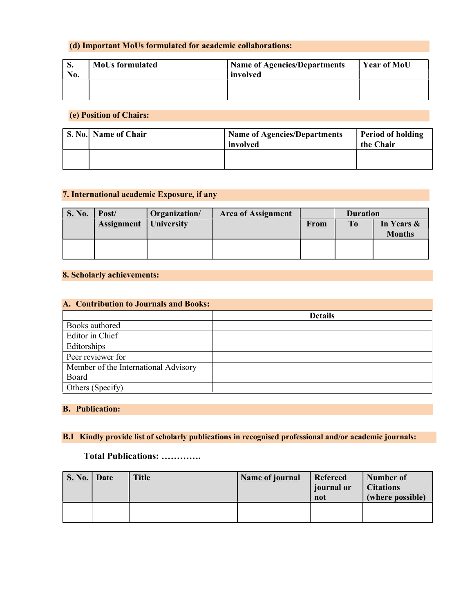## (d) Important MoUs formulated for academic collaborations:

| ञ.<br>No. | <b>MoUs formulated</b> | <b>Name of Agencies/Departments</b><br>involved | <b>Year of MoU</b> |
|-----------|------------------------|-------------------------------------------------|--------------------|
|           |                        |                                                 |                    |

## (e) Position of Chairs:

| S. No. Name of Chair | 'Name of Agencies/Departments<br>involved | <b>Period of holding</b><br>the Chair |
|----------------------|-------------------------------------------|---------------------------------------|
|                      |                                           |                                       |

## 7. International academic Exposure, if any

| <b>S. No.</b> | Post/             | Organization/     | <b>Area of Assignment</b> |      | <b>Duration</b> |               |
|---------------|-------------------|-------------------|---------------------------|------|-----------------|---------------|
|               | <b>Assignment</b> | <b>University</b> |                           | From | <b>To</b>       | In Years &    |
|               |                   |                   |                           |      |                 | <b>Months</b> |
|               |                   |                   |                           |      |                 |               |
|               |                   |                   |                           |      |                 |               |

### 8. Scholarly achievements:

| A. Contribution to Journals and Books: |                |  |  |  |
|----------------------------------------|----------------|--|--|--|
|                                        | <b>Details</b> |  |  |  |
| Books authored                         |                |  |  |  |
| Editor in Chief                        |                |  |  |  |
| Editorships                            |                |  |  |  |
| Peer reviewer for                      |                |  |  |  |
| Member of the International Advisory   |                |  |  |  |
| Board                                  |                |  |  |  |
| Others (Specify)                       |                |  |  |  |

## B. Publication:

## B.I Kindly provide list of scholarly publications in recognised professional and/or academic journals:

## Total Publications: ………….

| S. No. | Date | <b>Title</b> | Name of journal | Refereed<br>journal or<br>not | Number of<br><b>Citations</b><br>(where possible) |
|--------|------|--------------|-----------------|-------------------------------|---------------------------------------------------|
|        |      |              |                 |                               |                                                   |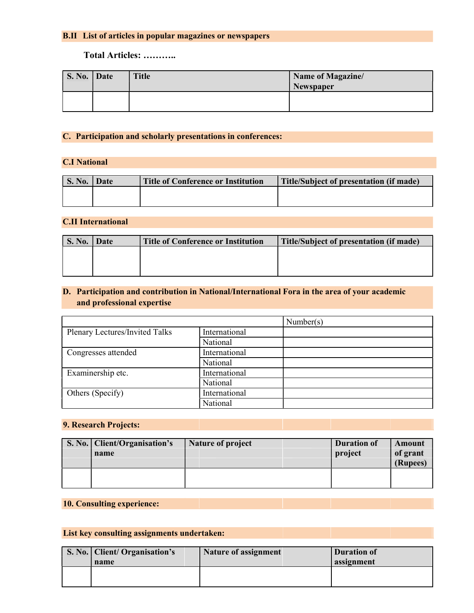# B.II List of articles in popular magazines or newspapers

## Total Articles: ………..

| S. No.   Date | <b>Title</b> | Name of Magazine/<br>Newspaper |
|---------------|--------------|--------------------------------|
|               |              |                                |

## C. Participation and scholarly presentations in conferences:

## C.I National

| S. No. | Date | <b>Title of Conference or Institution</b> | Title/Subject of presentation (if made) |
|--------|------|-------------------------------------------|-----------------------------------------|
|        |      |                                           |                                         |
|        |      |                                           |                                         |

## C.II International

| <b>S. No.</b> | Date | <b>Title of Conference or Institution</b> | Title/Subject of presentation (if made) |
|---------------|------|-------------------------------------------|-----------------------------------------|
|               |      |                                           |                                         |
|               |      |                                           |                                         |
|               |      |                                           |                                         |

# D. Participation and contribution in National/International Fora in the area of your academic and professional expertise

|                                |               | Number(s) |
|--------------------------------|---------------|-----------|
| Plenary Lectures/Invited Talks | International |           |
|                                | National      |           |
| Congresses attended            | International |           |
|                                | National      |           |
| Examinership etc.              | International |           |
|                                | National      |           |
| Others (Specify)               | International |           |
|                                | National      |           |

#### 9. Research Projects:

| S. No.   Client/Organisation's<br>name | <b>Nature of project</b> | <b>Duration of</b><br>project | Amount<br>of grant<br>(Rupees) |
|----------------------------------------|--------------------------|-------------------------------|--------------------------------|
|                                        |                          |                               |                                |

# 10. Consulting experience:

# List key consulting assignments undertaken:

| S. No.   Client/ Organisation's | <b>Nature of assignment</b> | <b>Duration of</b> |
|---------------------------------|-----------------------------|--------------------|
| name                            |                             | assignment         |
|                                 |                             |                    |
|                                 |                             |                    |
|                                 |                             |                    |